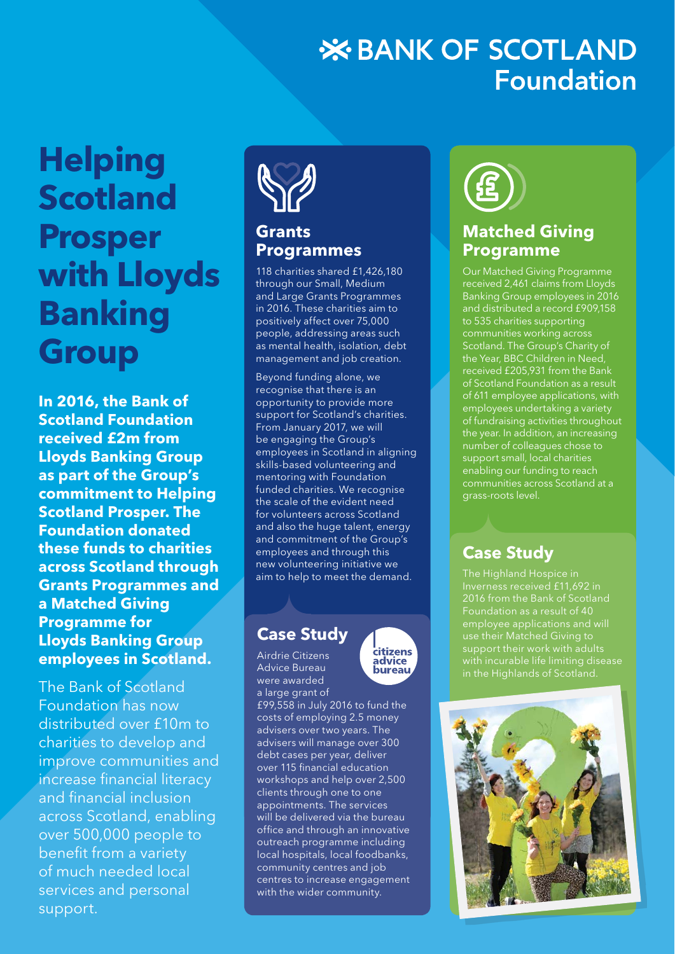# **X BANK OF SCOTLAND Foundation**

# **Helping Scotland Prosper with Lloyds Banking Group**

**In 2016, the Bank of Scotland Foundation received £2m from Lloyds Banking Group as part of the Group's commitment to Helping Scotland Prosper. The Foundation donated these funds to charities across Scotland through Grants Programmes and a Matched Giving Programme for Lloyds Banking Group employees in Scotland.**

The Bank of Scotland Foundation has now distributed over £10m to charities to develop and improve communities and increase financial literacy and financial inclusion across Scotland, enabling over 500,000 people to benefit from a variety of much needed local services and personal support.



#### **Grants Programmes**

118 charities shared £1,426,180 through our Small, Medium and Large Grants Programmes in 2016. These charities aim to positively affect over 75,000 people, addressing areas such as mental health, isolation, debt management and job creation.

Beyond funding alone, we recognise that there is an opportunity to provide more support for Scotland's charities. From January 2017, we will be engaging the Group's employees in Scotland in aligning skills-based volunteering and mentoring with Foundation funded charities. We recognise the scale of the evident need for volunteers across Scotland and also the huge talent, energy and commitment of the Group's employees and through this new volunteering initiative we aim to help to meet the demand.

#### **Case Study**

Airdrie Citizens Advice Bureau were awarded



a large grant of £99,558 in July 2016 to fund the costs of employing 2.5 money advisers over two years. The advisers will manage over 300 debt cases per year, deliver over 115 financial education workshops and help over 2,500 clients through one to one appointments. The services will be delivered via the bureau office and through an innovative outreach programme including local hospitals, local foodbanks, community centres and job centres to increase engagement with the wider community.



#### **Matched Giving Programme**

Our Matched Giving Programme received 2,461 claims from Lloyds Banking Group employees in 2016 and distributed a record £909,158 to 535 charities supporting communities working across Scotland. The Group's Charity of the Year, BBC Children in Need, received £205,931 from the Bank of Scotland Foundation as a result of 611 employee applications, with employees undertaking a variety of fundraising activities throughout the year. In addition, an increasing number of colleagues chose to support small, local charities enabling our funding to reach communities across Scotland at a grass-roots level.

# **Case Study**

The Highland Hospice in Foundation as a result of 40 employee applications and will use their Matched Giving to support their work with adults with incurable life limiting disease in the Highlands of Scotland.